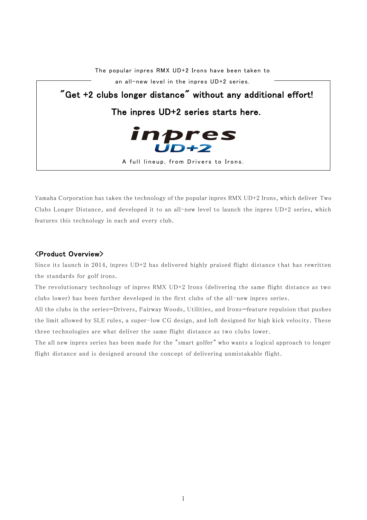

Yamaha Corporation has taken the technology of the popular inpres RMX UD+2 Irons, which deliver Two Clubs Longer Distance, and developed it to an all-new level to launch the inpres UD+2 series, which features this technology in each and every club.

## <Product Overview>

Since its launch in 2014, inpres UD+2 has delivered highly praised flight distance t hat has rewritten the standards for golf irons.

The revolutionary technology of inpres RMX UD+2 Irons (delivering the same flight distance as two clubs lower) has been further developed in the first clubs of the all -new inpres series.

All the clubs in the series—Drivers, Fairway Woods, Utilities, and Irons—feature repulsion that pushes the limit allowed by SLE rules, a super-low CG design, and loft designed for high kick velocity. These three technologies are what deliver the same flight distance as two clubs lower.

The all new inpres series has been made for the "smart golfer" who wants a logical approach to longer flight distance and is designed around the concept of delivering unmistakable flight.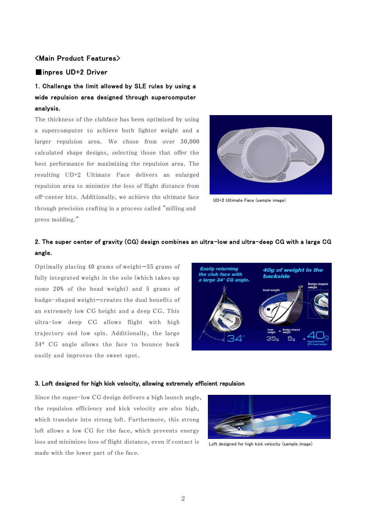## <Main Product Features>

## ■inpres UD+2 Driver

# 1. Challenge the limit allowed by SLE rules by using a wide repulsion area designed through supercomputer analysis.

The thickness of the clubface has been optimized by using a supercomputer to achieve both lighter weight and a larger repulsion area. We chose from over 30,000 calculated shape designs, selecting those that offer the best performance for maximizing the repulsion area. The resulting UD+2 Ultimate Face delivers an enlarged repulsion area to minimize the loss of flight distance from off-center hits. Additionally, we achieve the ultimate face through precision crafting in a process called "milling and press molding."



UD+2 Ultimate Face (sample image)

## 2. The super center of gravity (CG) design combines an ultra-low and ultra-deep CG with a large CG angle.

Optimally placing 40 grams of weight—35 grams of fully integrated weight in the sole (which takes up some 20% of the head weight) and 5 grams of badge-shaped weight—creates the dual benefits of an extremely low CG height and a deep CG. This ultra-low deep CG allows flight with high trajectory and low spin. Additionally, the large 34º CG angle allows the face to bounce back easily and improves the sweet spot.



#### 3. Loft designed for high kick velocity, allowing extremely efficient repulsion

Since the super-low CG design delivers a high launch angle, the repulsion efficiency and kick velocity are also high, which translate into strong loft. Furthermore, this strong loft allows a low CG for the face, which prevents energy loss and minimizes loss of flight distance, even if contact is made with the lower part of the face.



Loft designed for high kick velocity (sample image)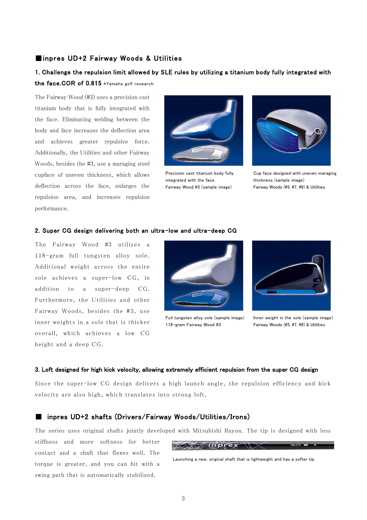### ■inpres UD+2 Fairway Woods & Utilities

## 1. Challenge the repulsion limit allowed by SLE rules by utilizing a titanium body fully integrated with the face.COR of 0.815 \*Yamaha golf research

The Fairway Wood (#3) uses a precision cast titanium body that is fully integrated with the face. Eliminating welding between the body and face increases the deflection area and achieves greater repulsive force. Additionally, the Utilities and other Fairway Woods, besides the #3, use a maraging steel cupface of uneven thickness, which allows deflection across the face, enlarges the repulsion area, and increases repulsion performance.



Precision cast titanium body fully integrated with the face. Fairway Wood #3 (sample image)



Cup face designed with uneven maraging thickness (sample image) Fairway Woods (#5, #7, #9) & Utilities

#### 2. Super CG design delivering both an ultra-low and ultra-deep CG

The Fairway Wood #3 utilizes a 118-gram full tungsten alloy sole. Additional weight across the entire sole achieves a super-low CG, in addition to a super-deep CG. Furthermore, the Utilities and other Fairway Woods, besides the #3, use inner weights in a sole that is thicker overall, which achieves a low CG height and a deep CG.



Full tungsten alloy sole (sample image) 118-gram Fairway Wood #3



Inner weight in the sole (sample image) Fairway Woods (#5, #7, #9) & Utilities

#### 3. Loft designed for high kick velocity, allowing extremely efficient repulsion from the super CG design

Since the super-low CG design delivers a high launch angle, the repulsion efficiency and kick velocity are also high, which translates into strong loft.

### ■ inpres UD+2 shafts (Drivers/Fairway Woods/Utilities/Irons)

The series uses original shafts jointly developed with Mitsubishi Rayon. The tip is designed with less

stiffness and more softness for better contact and a shaft that flexes well. The torque is greater, and you can hit with a swing path that is automatically stabilized.



Launching a new, original shaft that is lightweight and has a softer tip.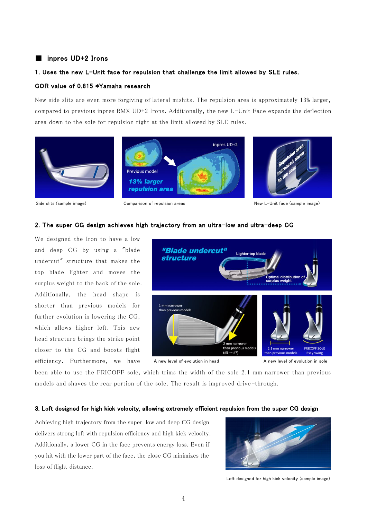## ■ inpres UD+2 Irons

### 1. Uses the new L-Unit face for repulsion that challenge the limit allowed by SLE rules.

### COR value of 0.815 \*Yamaha research

New side slits are even more forgiving of lateral mishits. The repulsion area is approximately 13% larger, compared to previous inpres RMX UD+2 Irons. Additionally, the new L-Unit Face expands the deflection area down to the sole for repulsion right at the limit allowed by SLE rules.



Side slits (sample image) Comparison of repulsion areas New L-Unit face (sample image)

#### 2. The super CG design achieves high trajectory from an ultra-low and ultra-deep CG

We designed the Iron to have a low and deep CG by using a "blade undercut" structure that makes the top blade lighter and moves the surplus weight to the back of the sole. Additionally, the head shape is shorter than previous models for further evolution in lowering the CG, which allows higher loft. This new head structure brings the strike point closer to the CG and boosts flight efficiency. Furthermore, we have



A new level of evolution in head

A new level of evolution in sole

been able to use the FRICOFF sole, which trims the width of the sole 2.1 mm narrower than previous models and shaves the rear portion of the sole. The result is improved drive -through.

#### 3. Loft designed for high kick velocity, allowing extremely efficient repulsion from the super CG design

Achieving high trajectory from the super-low and deep CG design delivers strong loft with repulsion efficiency and high kick velocity. Additionally, a lower CG in the face prevents energy loss. Even if you hit with the lower part of the face, the close CG minimizes the loss of flight distance.



Loft designed for high kick velocity (sample image)